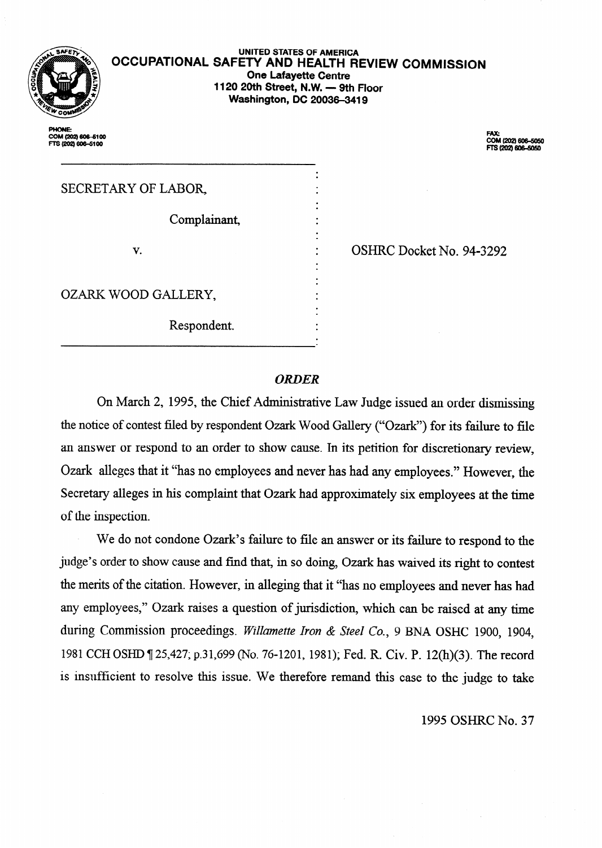

COM (202) 606-5100 TS (202) 606-5100

### **UNITED STATES OF AMERICA OCCUPATIONAL SAFETY AND HEALTH REVIEW COMMISSION One Lafayette Centre 1120 20th Street, N.W. - 9th Floor Washington, DC 20036-3419**

. .

.

. . .

.

FAX:<br>COM (202) 606–5050<br>FTS (202) 606–5050

# SECRETARY OF LABOR,

Complainant,

v.

OZARK WOOD GALLERY,

Respondent.

OSHRC Docket No. **94-3292** 

# *ORDER*

On March 2, 1995, the Chief Administrative Law Judge issued an order *dismissing*  the notice of contest filed by respondent Ozark Wood Gallery ("Ozark") for its failure to file an answer or respond to an order to show cause. In its petition for discretionary review, Ozark alleges that it "has no employees and never has had any employees." However, the Secretary alleges in his complaint that Ozark had approximately six employees at the time of the inspection.

We do not condone Ozark's failure to file an answer or its failure to respond to the judge's order to show cause and find that, in so doing, Ozark has waived its right to contest the merits of the citation. However, in alleging that it "has no employees and never has had any employees," Ozark raises a question of jurisdiction, which can be raised at any time during Commission proceedings. *Willamette Iron & Steel Co.,* 9 BNA OSHC 1900, 1904, 1981 CCH OSHD 7 25,427; p.31,699 (No. 76-1201, 1981); Fed. R. Civ. P. 12(h)(3). The record is insufficient to resolve this issue. We therefore remand this case to the judge to take

1995 OSHRC No. 37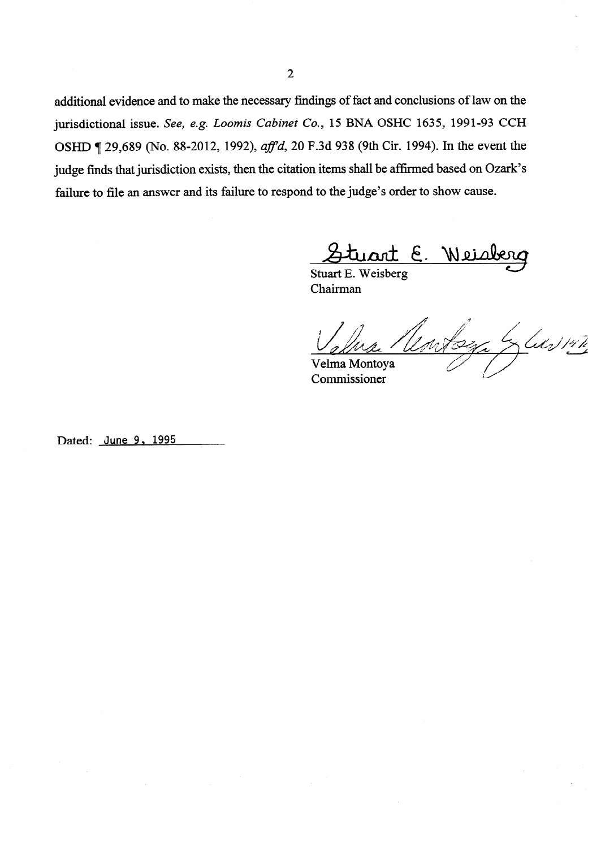additional evidence and to make the necessary findings of fact and conclusions of law on the jurisdictional issue. See, e.g. Loomis Cabinet Co., 15 BNA OSHC 1635, 1991-93 CCH OSHD ¶ 29,689 (No. 88-2012, 1992), *aff'd*, 20 F.3d 938 (9th Cir. 1994). In the event the judge finds that jurisdiction exists, then the citation items shall be affirmed based on Ozark's failure to file an answer and its failure to respond to the judge's order to show cause.

<u>Stuart E. Weis</u><br>Stuart E. Weisberg

Chairman

Le Lus 147 mtoga Velma Montoya

Commissioner

Dated: June 9, 1995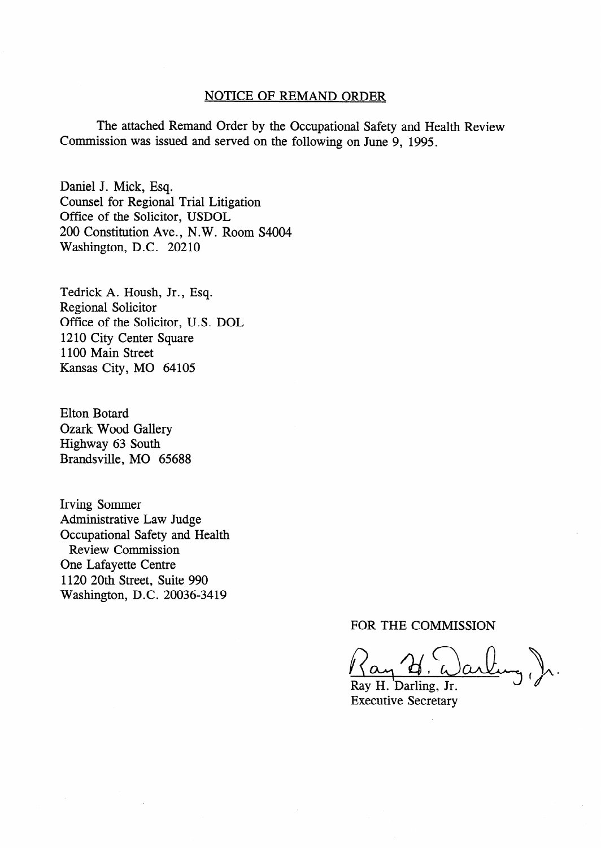# NOTICE OF REMAND ORDER

The attached Remand Order by the Occupational Safety and Health Review Commission was issued and served on the following on June 9, 1995.

Daniel J. Mick, Esq. Counsel for Regional Trial Litigation Office of the Solicitor, USDOL 200 Constitution Ave., N. W. Room S4004 Washington, D.C. 20210

Tedrick A. Housh, Jr., Esq. Regional Solicitor Office of the Solicitor, U.S. DOL 1210 City Center Square 1100 Main Street Kansas City, MO 64105

Elton Botard Ozark Wood Gallery Highway 63 South Brandsville, MO 65688

Irving Sommer Administrative Law Judge Occupational Safety and Health Review Commission One Lafayette Centre 1120 20th Street, Suite 990 Washington, D.C. 20036-3419

## FOR THE COMMISSION

 $\mathcal{V}_{\mathcal{N}}$  .  $\alpha$ 

Ray H. Darling, Jr. Executive Secretary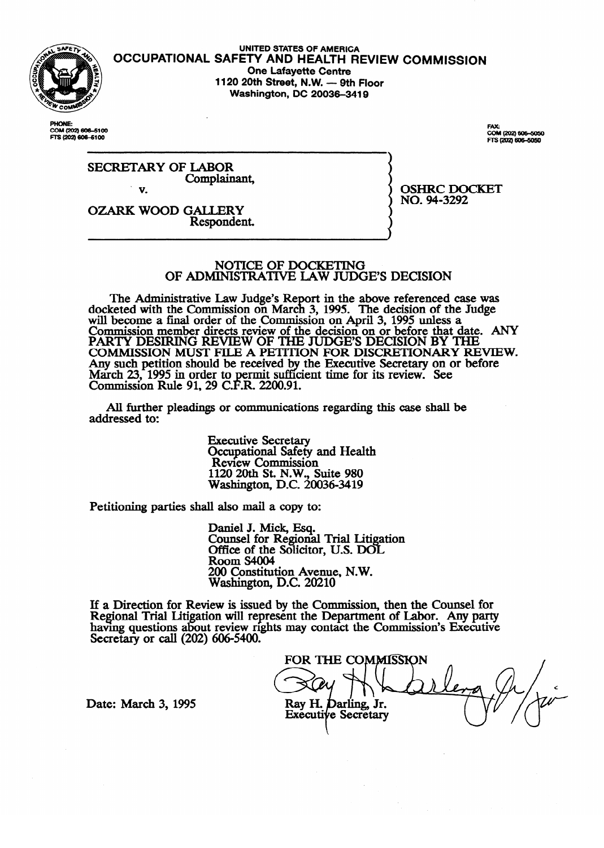

**UNITED STATES OF AMERICA OCCUPATIONAL SAFETY AND HEALTH REVIEW COMMISSION One Lafavette Centre 1120 20th Street, N.W. - 9th Floor Washington, DC 20036-3419** 

**PHONE-**COM (202) 606-5100<br>FTS (202) 606-5100

FAY-FAX:<br>COM (202) 606-5050<br>FTS (202) 606-5050

NO. 94-3292

NO. **94-3292** 

SECRETARY OF LABOR Complainank

v. OZARK WOOD GALLERY

Respondent.

# NOTICE OF DOCKETING<br>OF ADMINISTRATIVE LAW JUDGE'S DECISION

The Administrative Law Judge's Report in the above referenced case was docketed with the Commission on March 3, 1995. The decision of the Judge will become a final order of the Commission on April 3, 1995 unless a Commission member directs review of the decision on or before that d<br>BARTIM BESUPPENT APPLITED APRIL 3, PROGRAM BY THE PARTY DESIRING REVIEW OF THE JUDGE'S DECISION BY THE condition of the decision of the condition of the condition of the distribution of the condition of the condition of the condition of the condition of the condition of t COMMISSION MUST FILE A PETITION FOR DISCRETIONARY REVIEW. Any such petition should be received by the Executive Secretary on or before March  $23$ , 1995 in order to permit sufficient time for its review. See<br>Commission Buls 01, 20 C E B, 2200.01 Commission Rule 91, 29 C.F.R. 2200.91. cient time for its review. See the form of the see that the see that the see that the see that the see that the<br>See that the see that the see that the see that the see that the see that the see that the see that the see th

All further pleadings or communication  $A$  further pleading or communications regarding the communications regarding the case shall be shall be shall be shall be shall be shall be shall be shall be shall be shall be shall be shall be shall be shall be shall be

> **Executive Secretary** Occupational Safety and Health<br>Review Commission  $1120$  20th St. N.W., Suite 980  $W$ ashington, D.C. 200 1120 20th St. N.W., Suite 980

Petitioning parties shall also mail a copy to:

Paniel J. Mick, Esq. Office of the Solicito Room S4004 200 Constitution Avenue, N.W. Washington, D.C. 20210

 $\overline{\phantom{a}}$ iew is issued by the Comhaving questions about review rights may contact the Commission's Executive Secretary or call  $(202)$  606-5400.

FOR THE COMMISSION Ray H. Darling, Jr. **Executive Secretary** 

Date: March 3, 1995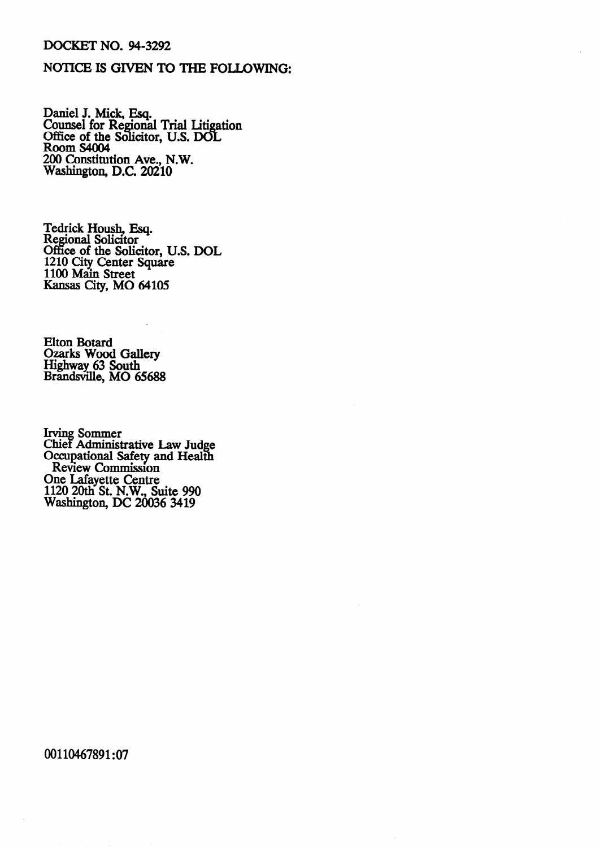## DOCKET NO. 94-3292

# NOTICE IS GIVEN TO THE FOLLOWING:

Daniel J. Mick, Esq. Counsel for Regional Trial Litigation Office of the Solicitor, U.S. DOI Room S4004 200 Constitution Ave., N.W. Washington, D.C. 20210

Tedrick Housh, Esq. Regional Solicitor Office of the Solicitor, U.S. DOL 1210 City Center Square 1100 Main Street Kansas City, MO 64105

Elton Botard Ozarks Wood Gallery Highway 63 South Brandsville, MO 65688

Irving Sommer Chief Administrative Law Judge Occupational Safety and Health Review Commission One Lafayette Centre 1120 20th St. N.W., Suite 990 Washington, DC 20036 3419

00110467891:07